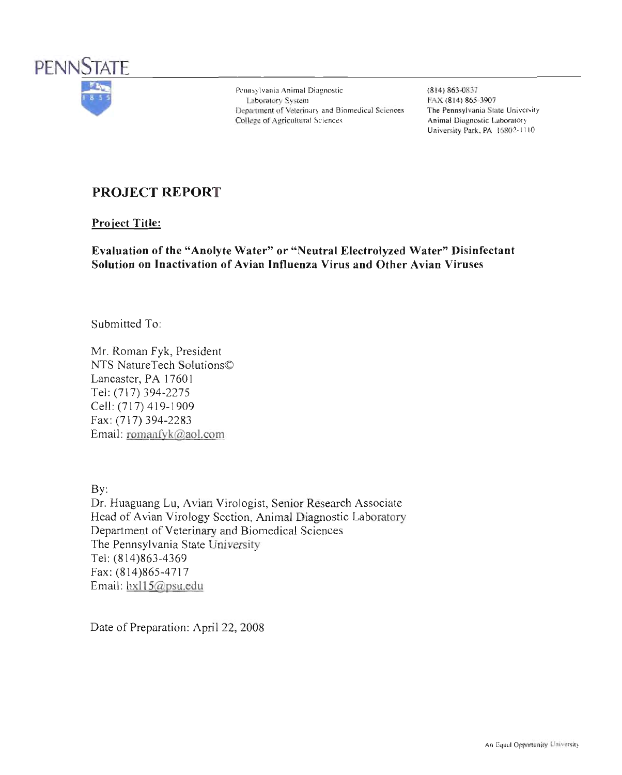

Pennsylvania Animal Diagnostic Laboratory System Department of Veterinary and Biomedical Sciences College of Agricultural Sciences

 $(814) 863 - 0837$ FAX (814) 865-3907 The Pennsylvania State University Animal Diagnostic Laboratory University Park, PA 16802-1110

# **PROJECT REPORT**

**Project Title:** 

Evaluation of the "Anolyte Water" or "Neutral Electrolyzed Water" Disinfectant Solution on Inactivation of Avian Influenza Virus and Other Avian Viruses

Submitted To:

Mr. Roman Fyk, President NTS NatureTech Solutions© Lancaster, PA 17601 Tel: (717) 394-2275 Cell: (717) 419-1909 Fax: (717) 394-2283 Email: romanfyk@aol.com

 $Bv$ : Dr. Huaguang Lu, Avian Virologist, Senior Research Associate Head of Avian Virology Section, Animal Diagnostic Laboratory Department of Veterinary and Biomedical Sciences The Pennsylvania State University Tel: (814)863-4369 Fax: (814)865-4717 Email: hxl $15@$ psu edu

Date of Preparation: April 22, 2008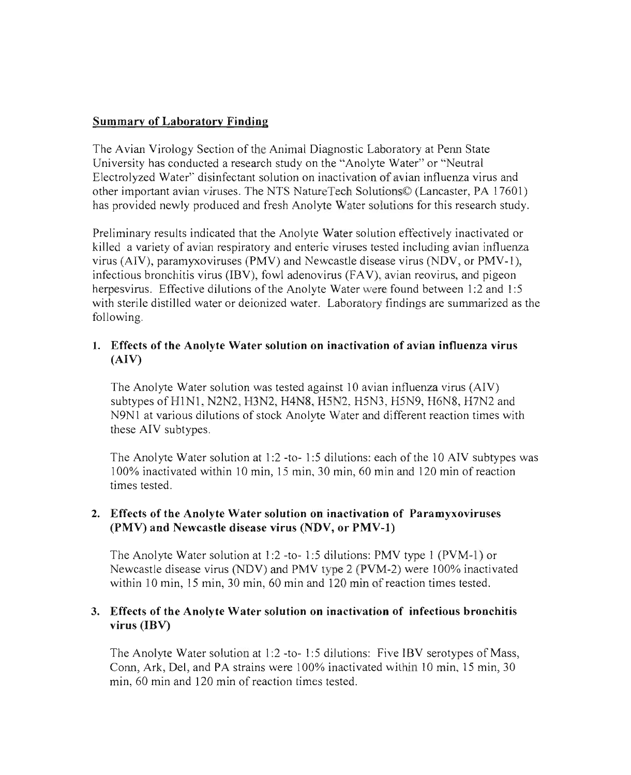## Summary of Laboratory Finding

The Avian Virology Section of the Animal Diagnostic Laboratory at Penn State University has conducted a research study on the "Anolyte Water" or "Neutral Electrolyzed Water' disinfectant solution on inactivation of avian influenza virus and other important avian viruses. The NTS NatureTech Solutions© (Lancaster, PA 17601) has provided newly produced and fresh Anolyte Water solutions for this research study.

Preliminary results indicated that the Anolyte Water solution effectively inactivated or killed a variety of avian respiratory and enteric viruses tested including avian influenza virus (AIV), paramyxoviruses (PMV) and Newcastle disease virus (NOV, or PMV-l), infectious bronchitis virus (IBV), fowl adenovirus (FAV), avian reovirus, and pigeon herpesvirus. Effective dilutions of the Anolyte Water were found between 1:2 and 1:5 with sterile distilled water or deionized water. Laboratory findings are summarized as the following.

## 1. Effects of the Anolyte Water solution on inactivation of avian influenza virus (AIV)

The Anolyte Water solution was tested against 10 avian influenza virus (AIV) subtypes of  $H1N1$ , N2N2, H3N2, H4N8, H5N2, H5N3, H5N9, H6N8, H7N2 and N9N1 at various dilutions of stock Anolyte Water and different reaction times with these AIV subtypes.

The Anolyte Water solution at 1:2 -to- 1:5 dilutions: each of the 10 AIV subtypes was 100% inactivated within 10 min, 15 min, 30 min, 60 min and 120 min of reaction times tested.

## 2. Effects of the Anolyte Water solution on inactivation of Paramyxoviruses (PMV) and Newcastle disease virus (NDV, or PMV-l)

The Anolyte Water solution at 1:2 -to- 1:5 dilutions: PMV type 1 (PVM-l) or Newcastle disease virus (NDV) and PMV type 2 (PVM-2) were 100% inactivated within 10 min, 15 min, 30 min, 60 min and 120 min of reaction times tested.

#### 3. Effects of the Anolyte Water solution on inactivation of infectious bronchitis virus (IBV)

The Anolyte Water solution at 1:2 -to- 1:5 dilutions: Five IBV serotypes of Mass, Conn, Ark, Del, and PA strains were 100% inactivated within 10 min, 15 min, 30 min, 60 min and 120 min of reaction times tested.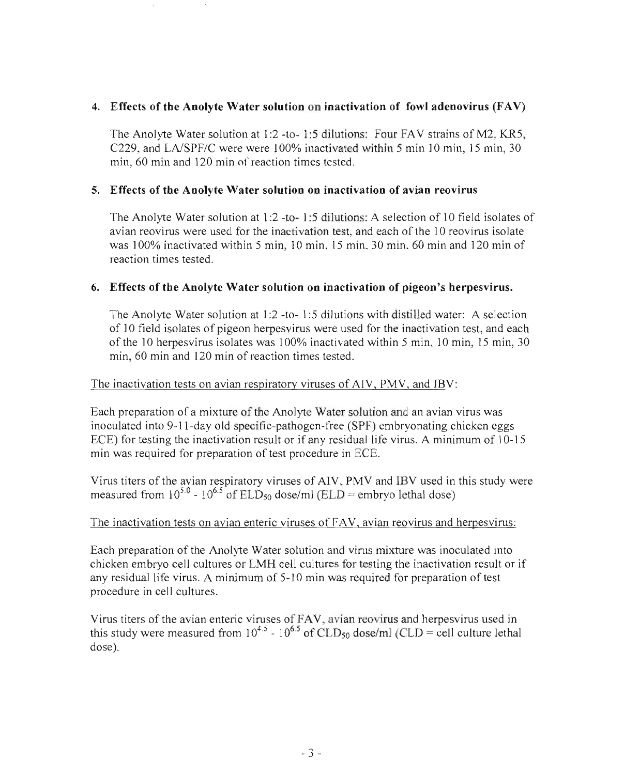### 4. Effects of the Anolyte Water solution on inactivation of fowl adenovirus (FAV)

The Anolyte Water solution at 1:2 -to- 1:5 dilutions: Four FAV strains of M2, KR5, C229, and LA/SPF/C were were  $100\%$  inactivated within 5 min 10 min, 15 min, 30 min, 60 min and 120 min of reaction times tested.

### 5. Effects of the Anolyte Water solution on inactivation of avian reovirus

The Anolyte Water solution at 1:2 -to- 1:5 dilution: A selection of 10 field isolates of avian reovirus were used for the inactivation test, and each of the 10 reovirus isolate was 100% inactivated within 5 min, 10 min, 15 min 30 min 60 min and 120 min of reaction times tested.

### 6. Effects of the Anolyte Water solution on inactivation of pigeon's herpesvirus.

The Anolyte Water solution at 1:2 -to- 1:5 dilutions with distilled water: A selection of 10 field isolates of pigeon herpes virus were used for the inactivation test, and each of the 10 herpesvirus isolates was 100% inactivated within 5 min, 10 min, 15 min, 30 min, 60 min and 120 min of reaction times tested.

### The inactivation tests on avian respiratory viruses of *AN,* PMV, and IBV:

Each preparation of a mixture of the Anolyte Water solution and an avian virus was inoculated into 9-11-day old specific-pathogen-free (SPF) embryonating chicken eggs ECE) for testing the inactivation result or if any residual life virus. A minimum of 10-15 min was required for preparation of test procedure in ECE.

Virus titers of the avian respiratory viruses of AIV, PMV and IBV used in this study were measured from  $10^{5.0}$  -  $10^{6.5}$  of ELD<sub>50</sub> dose/ml (ELD = embryo lethal dose)

#### The inactivation tests on avian enteric viruses of FAV, avian reovirus and herpesvirus:

Each preparation of the Anolyte Water solution and virus mixture was inoculated into chicken embryo cell cultures or LMH cell cultures for testing the inactivation result or if any residual life virus. A minimum of 5-1 0 min was required for preparation of test procedure in cell cultures.

Virus titers of the avian enteric viruses of FAV, avian reovirus and herpesvirus used in this study were measured from  $10^{4.5}$  -  $10^{6.5}$  of CLD<sub>50</sub> dose/ml (CLD = cell culture lethal dose).